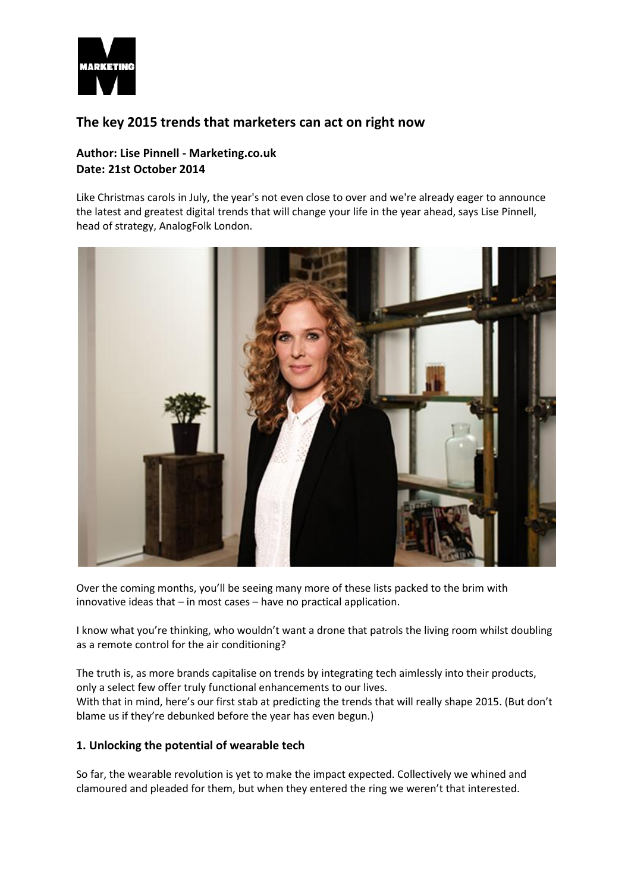

# **The key 2015 trends that marketers can act on right now**

# **Author: Lise Pinnell - Marketing.co.uk Date: 21st October 2014**

Like Christmas carols in July, the year's not even close to over and we're already eager to announce the latest and greatest digital trends that will change your life in the year ahead, says Lise Pinnell, head of strategy, AnalogFolk London.



Over the coming months, you'll be seeing many more of these lists packed to the brim with innovative ideas that – in most cases – have no practical application.

I know what you're thinking, who wouldn't want a drone that patrols the living room whilst doubling as a remote control for the air conditioning?

The truth is, as more brands capitalise on trends by integrating tech aimlessly into their products, only a select few offer truly functional enhancements to our lives. With that in mind, here's our first stab at predicting the trends that will really shape 2015. (But don't blame us if they're debunked before the year has even begun.)

## **1. Unlocking the potential of wearable tech**

So far, the wearable revolution is yet to make the impact expected. Collectively we whined and clamoured and pleaded for them, but when they entered the ring we weren't that interested.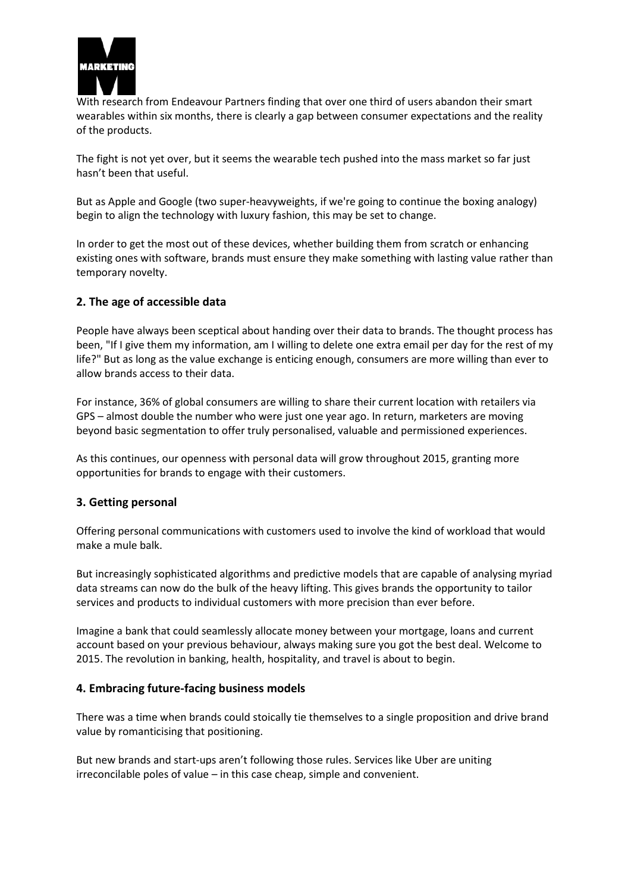

With research from Endeavour Partners finding that over one third of users abandon their smart wearables within six months, there is clearly a gap between consumer expectations and the reality of the products.

The fight is not yet over, but it seems the wearable tech pushed into the mass market so far just hasn't been that useful.

But as Apple and Google (two super-heavyweights, if we're going to continue the boxing analogy) begin to align the technology with luxury fashion, this may be set to change.

In order to get the most out of these devices, whether building them from scratch or enhancing existing ones with software, brands must ensure they make something with lasting value rather than temporary novelty.

#### **2. The age of accessible data**

People have always been sceptical about handing over their data to brands. The thought process has been, "If I give them my information, am I willing to delete one extra email per day for the rest of my life?" But as long as the value exchange is enticing enough, consumers are more willing than ever to allow brands access to their data.

For instance, 36% of global consumers are willing to share their current location with retailers via GPS – almost double the number who were just one year ago. In return, marketers are moving beyond basic segmentation to offer truly personalised, valuable and permissioned experiences.

As this continues, our openness with personal data will grow throughout 2015, granting more opportunities for brands to engage with their customers.

## **3. Getting personal**

Offering personal communications with customers used to involve the kind of workload that would make a mule balk.

But increasingly sophisticated algorithms and predictive models that are capable of analysing myriad data streams can now do the bulk of the heavy lifting. This gives brands the opportunity to tailor services and products to individual customers with more precision than ever before.

Imagine a bank that could seamlessly allocate money between your mortgage, loans and current account based on your previous behaviour, always making sure you got the best deal. Welcome to 2015. The revolution in banking, health, hospitality, and travel is about to begin.

#### **4. Embracing future-facing business models**

There was a time when brands could stoically tie themselves to a single proposition and drive brand value by romanticising that positioning.

But new brands and start-ups aren't following those rules. Services like Uber are uniting irreconcilable poles of value – in this case cheap, simple and convenient.